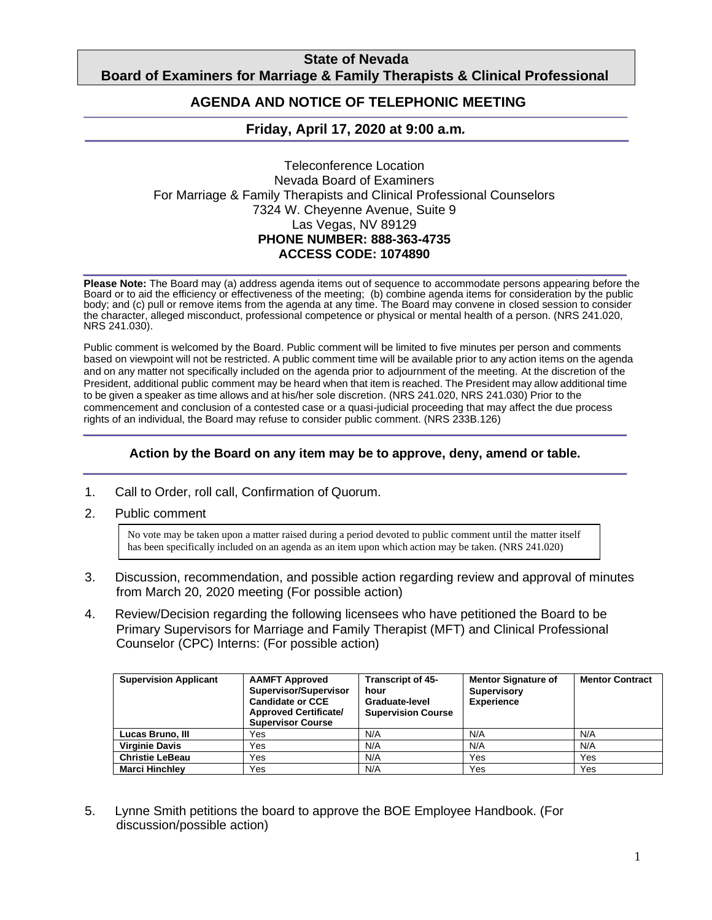## **State of Nevada Board of Examiners for Marriage & Family Therapists & Clinical Professional**

#### **Counting AGENDA AND NOTICE OF TELEPHONIC MEETING**

# **Friday, April 17, 2020 at 9:00 a.m***.*

Teleconference Location Nevada Board of Examiners For Marriage & Family Therapists and Clinical Professional Counselors 7324 W. Cheyenne Avenue, Suite 9 Las Vegas, NV 89129 **PHONE NUMBER: 888-363-4735 ACCESS CODE: 1074890**

**Please Note:** The Board may (a) address agenda items out of sequence to accommodate persons appearing before the Board or to aid the efficiency or effectiveness of the meeting; (b) combine agenda items for consideration by the public body; and (c) pull or remove items from the agenda at any time. The Board may convene in closed session to consider the character, alleged misconduct, professional competence or physical or mental health of a person. (NRS 241.020, NRS 241.030).

Public comment is welcomed by the Board. Public comment will be limited to five minutes per person and comments based on viewpoint will not be restricted. A public comment time will be available prior to any action items on the agenda and on any matter not specifically included on the agenda prior to adjournment of the meeting. At the discretion of the President, additional public comment may be heard when that item is reached. The President may allow additional time to be given a speaker as time allows and at his/her sole discretion. (NRS 241.020, NRS 241.030) Prior to the commencement and conclusion of a contested case or a quasi-judicial proceeding that may affect the due process rights of an individual, the Board may refuse to consider public comment. (NRS 233B.126)

### **Action by the Board on any item may be to approve, deny, amend or table.**

- 1. Call to Order, roll call, Confirmation of Quorum.
- 2. Public comment

No vote may be taken upon a matter raised during a period devoted to public comment until the matter itself has been specifically included on an agenda as an item upon which action may be taken. (NRS 241.020)

- 3. Discussion, recommendation, and possible action regarding review and approval of minutes from March 20, 2020 meeting (For possible action)
- 4. Review/Decision regarding the following licensees who have petitioned the Board to be Primary Supervisors for Marriage and Family Therapist (MFT) and Clinical Professional Counselor (CPC) Interns: (For possible action)

| <b>Supervision Applicant</b> | <b>AAMFT Approved</b><br>Supervisor/Supervisor<br><b>Candidate or CCE</b><br><b>Approved Certificate/</b><br><b>Supervisor Course</b> | <b>Transcript of 45-</b><br>hour<br>Graduate-level<br><b>Supervision Course</b> | <b>Mentor Signature of</b><br><b>Supervisory</b><br><b>Experience</b> | <b>Mentor Contract</b> |
|------------------------------|---------------------------------------------------------------------------------------------------------------------------------------|---------------------------------------------------------------------------------|-----------------------------------------------------------------------|------------------------|
| Lucas Bruno, III             | Yes                                                                                                                                   | N/A                                                                             | N/A                                                                   | N/A                    |
| <b>Virginie Davis</b>        | Yes                                                                                                                                   | N/A                                                                             | N/A                                                                   | N/A                    |
| <b>Christie LeBeau</b>       | Yes                                                                                                                                   | N/A                                                                             | Yes                                                                   | Yes                    |
| <b>Marci Hinchlev</b>        | Yes                                                                                                                                   | N/A                                                                             | Yes                                                                   | Yes                    |

5. Lynne Smith petitions the board to approve the BOE Employee Handbook. (For discussion/possible action)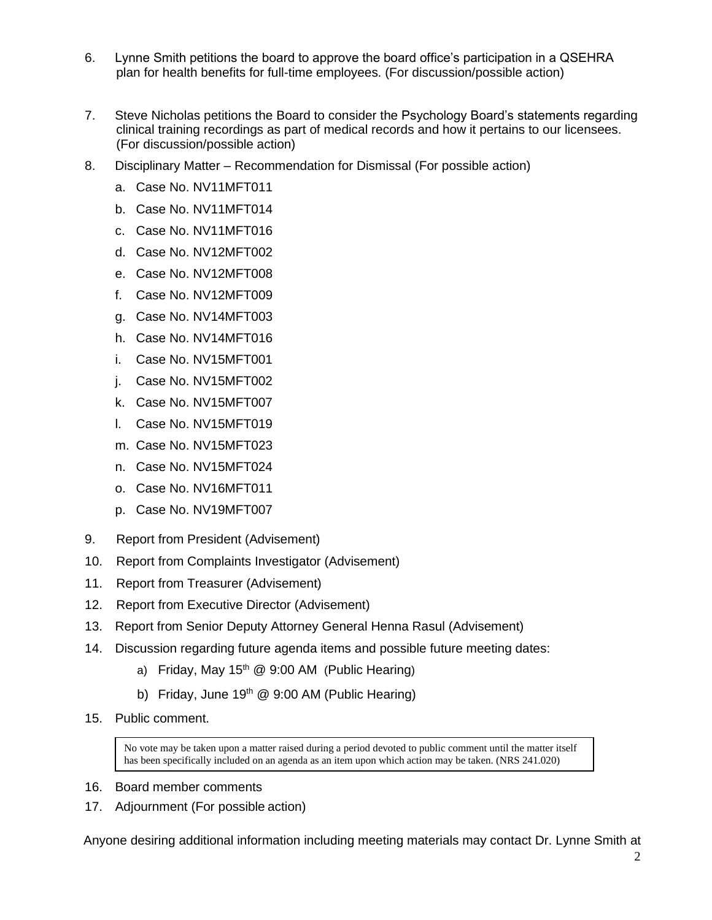- 6. Lynne Smith petitions the board to approve the board office's participation in a QSEHRA plan for health benefits for full-time employees. (For discussion/possible action)
- 7. Steve Nicholas petitions the Board to consider the Psychology Board's statements regarding clinical training recordings as part of medical records and how it pertains to our licensees. (For discussion/possible action)
- 8. Disciplinary Matter Recommendation for Dismissal (For possible action)
	- a. Case No. NV11MFT011
	- b. Case No. NV11MFT014
	- c. Case No. NV11MFT016
	- d. Case No. NV12MFT002
	- e. Case No. NV12MFT008
	- f. Case No. NV12MFT009
	- g. Case No. NV14MFT003
	- h. Case No. NV14MFT016
	- i. Case No. NV15MFT001
	- j. Case No. NV15MFT002
	- k. Case No. NV15MFT007
	- l. Case No. NV15MFT019
	- m. Case No. NV15MFT023
	- n. Case No. NV15MFT024
	- o. Case No. NV16MFT011
	- p. Case No. NV19MFT007
- 9. Report from President (Advisement)
- 10. Report from Complaints Investigator (Advisement)
- 11. Report from Treasurer (Advisement)
- 12. Report from Executive Director (Advisement)
- 13. Report from Senior Deputy Attorney General Henna Rasul (Advisement)
- 14. Discussion regarding future agenda items and possible future meeting dates:
	- a) Friday, May 15<sup>th</sup> @ 9:00 AM (Public Hearing)
	- b) Friday, June  $19<sup>th</sup>$  @ 9:00 AM (Public Hearing)
- 15. Public comment.

No vote may be taken upon a matter raised during a period devoted to public comment until the matter itself has been specifically included on an agenda as an item upon which action may be taken. (NRS 241.020)

- 16. Board member comments
- 17. Adjournment (For possible action)

Anyone desiring additional information including meeting materials may contact Dr. Lynne Smith at